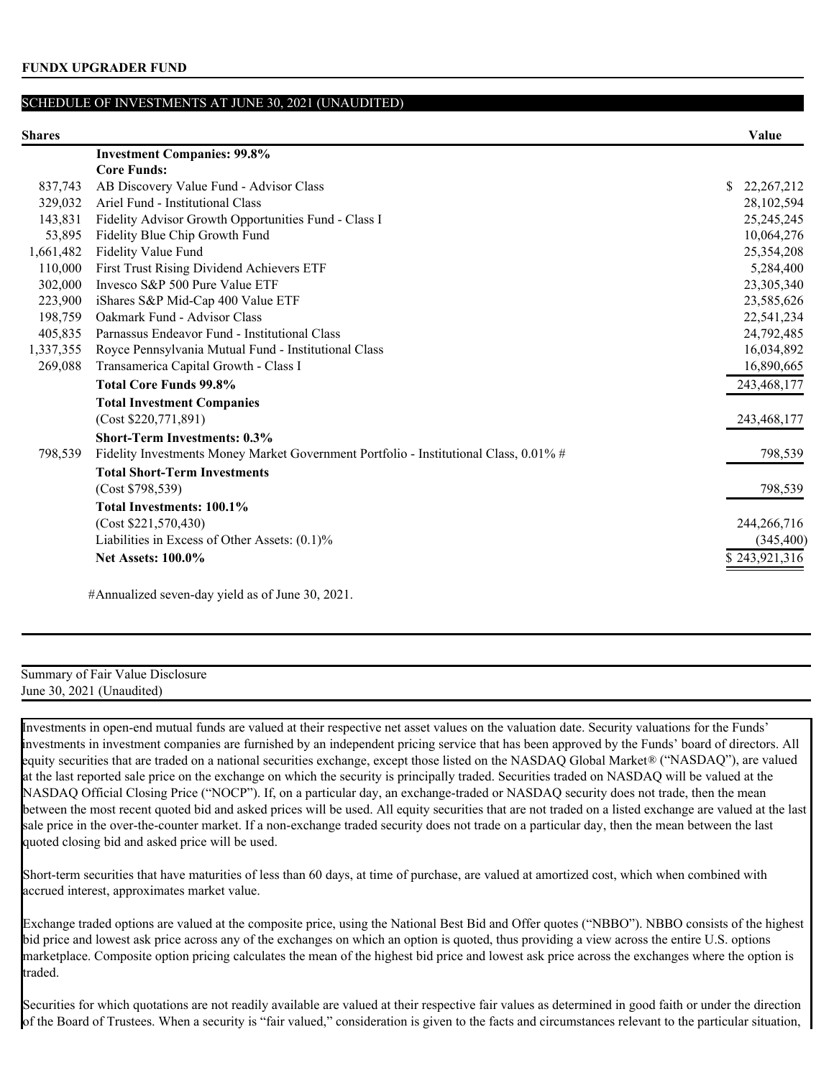| Shares    |                                                                                       | Value              |
|-----------|---------------------------------------------------------------------------------------|--------------------|
|           | <b>Investment Companies: 99.8%</b>                                                    |                    |
|           | <b>Core Funds:</b>                                                                    |                    |
| 837,743   | AB Discovery Value Fund - Advisor Class                                               | \$<br>22, 267, 212 |
| 329,032   | Ariel Fund - Institutional Class                                                      | 28,102,594         |
| 143,831   | Fidelity Advisor Growth Opportunities Fund - Class I                                  | 25, 245, 245       |
| 53,895    | Fidelity Blue Chip Growth Fund                                                        | 10,064,276         |
| 1,661,482 | Fidelity Value Fund                                                                   | 25,354,208         |
| 110,000   | First Trust Rising Dividend Achievers ETF                                             | 5,284,400          |
| 302,000   | Invesco S&P 500 Pure Value ETF                                                        | 23,305,340         |
| 223,900   | iShares S&P Mid-Cap 400 Value ETF                                                     | 23,585,626         |
| 198,759   | Oakmark Fund - Advisor Class                                                          | 22,541,234         |
| 405,835   | Parnassus Endeavor Fund - Institutional Class                                         | 24,792,485         |
| 1,337,355 | Royce Pennsylvania Mutual Fund - Institutional Class                                  | 16,034,892         |
| 269,088   | Transamerica Capital Growth - Class I                                                 | 16,890,665         |
|           | <b>Total Core Funds 99.8%</b>                                                         | 243,468,177        |
|           | <b>Total Investment Companies</b>                                                     |                    |
|           | (Cost \$220,771,891)                                                                  | 243,468,177        |
|           | <b>Short-Term Investments: 0.3%</b>                                                   |                    |
| 798,539   | Fidelity Investments Money Market Government Portfolio - Institutional Class, 0.01% # | 798,539            |
|           | <b>Total Short-Term Investments</b>                                                   |                    |
|           | (Cost \$798,539)                                                                      | 798,539            |
|           | Total Investments: 100.1%                                                             |                    |
|           | (Cost \$221,570,430)                                                                  | 244,266,716        |
|           | Liabilities in Excess of Other Assets: (0.1)%                                         | (345, 400)         |
|           | <b>Net Assets: 100.0%</b>                                                             | \$243,921,316      |
|           |                                                                                       |                    |

#Annualized seven-day yield as of June 30, 2021.

### Summary of Fair Value Disclosure June 30, 2021 (Unaudited)

Investments in open-end mutual funds are valued at their respective net asset values on the valuation date. Security valuations for the Funds' investments in investment companies are furnished by an independent pricing service that has been approved by the Funds' board of directors. All equity securities that are traded on a national securities exchange, except those listed on the NASDAQ Global Market® ("NASDAQ"), are valued at the last reported sale price on the exchange on which the security is principally traded. Securities traded on NASDAQ will be valued at the NASDAQ Official Closing Price ("NOCP"). If, on a particular day, an exchange-traded or NASDAQ security does not trade, then the mean between the most recent quoted bid and asked prices will be used. All equity securities that are not traded on a listed exchange are valued at the last sale price in the over-the-counter market. If a non-exchange traded security does not trade on a particular day, then the mean between the last quoted closing bid and asked price will be used.

Short-term securities that have maturities of less than 60 days, at time of purchase, are valued at amortized cost, which when combined with accrued interest, approximates market value.

Exchange traded options are valued at the composite price, using the National Best Bid and Offer quotes ("NBBO"). NBBO consists of the highest bid price and lowest ask price across any of the exchanges on which an option is quoted, thus providing a view across the entire U.S. options marketplace. Composite option pricing calculates the mean of the highest bid price and lowest ask price across the exchanges where the option is traded.

Securities for which quotations are not readily available are valued at their respective fair values as determined in good faith or under the direction of the Board of Trustees. When a security is "fair valued," consideration is given to the facts and circumstances relevant to the particular situation,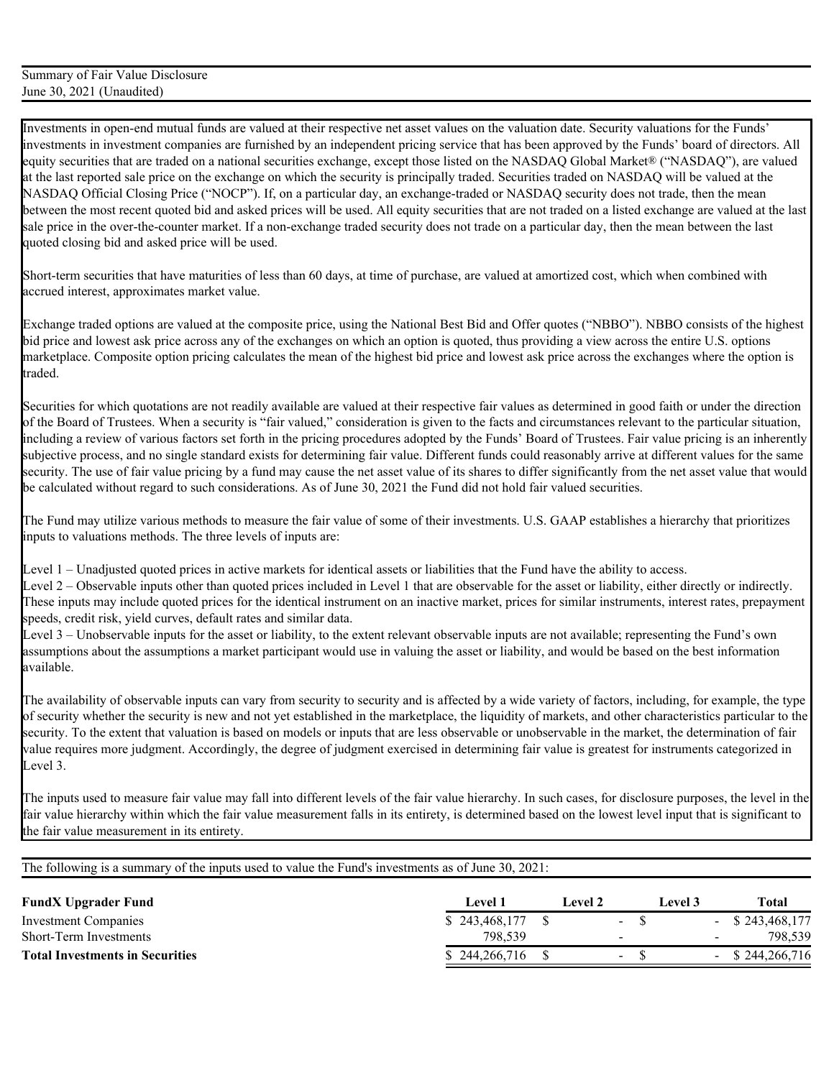Short-term securities that have maturities of less than 60 days, at time of purchase, are valued at amortized cost, which when combined with accrued interest, approximates market value.

Exchange traded options are valued at the composite price, using the National Best Bid and Offer quotes ("NBBO"). NBBO consists of the highest bid price and lowest ask price across any of the exchanges on which an option is quoted, thus providing a view across the entire U.S. options marketplace. Composite option pricing calculates the mean of the highest bid price and lowest ask price across the exchanges where the option is traded.

Securities for which quotations are not readily available are valued at their respective fair values as determined in good faith or under the direction of the Board of Trustees. When a security is "fair valued," consideration is given to the facts and circumstances relevant to the particular situation, including a review of various factors set forth in the pricing procedures adopted by the Funds' Board of Trustees. Fair value pricing is an inherently subjective process, and no single standard exists for determining fair value. Different funds could reasonably arrive at different values for the same security. The use of fair value pricing by a fund may cause the net asset value of its shares to differ significantly from the net asset value that would be calculated without regard to such considerations. As of June 30, 2021 the Fund did not hold fair valued securities.

The Fund may utilize various methods to measure the fair value of some of their investments. U.S. GAAP establishes a hierarchy that prioritizes inputs to valuations methods. The three levels of inputs are:

Level 1 – Unadjusted quoted prices in active markets for identical assets or liabilities that the Fund have the ability to access.

Level 2 – Observable inputs other than quoted prices included in Level 1 that are observable for the asset or liability, either directly or indirectly. These inputs may include quoted prices for the identical instrument on an inactive market, prices for similar instruments, interest rates, prepayment speeds, credit risk, yield curves, default rates and similar data.

Level 3 – Unobservable inputs for the asset or liability, to the extent relevant observable inputs are not available; representing the Fund's own assumptions about the assumptions a market participant would use in valuing the asset or liability, and would be based on the best information available.

The availability of observable inputs can vary from security to security and is affected by a wide variety of factors, including, for example, the type of security whether the security is new and not yet established in the marketplace, the liquidity of markets, and other characteristics particular to the security. To the extent that valuation is based on models or inputs that are less observable or unobservable in the market, the determination of fair value requires more judgment. Accordingly, the degree of judgment exercised in determining fair value is greatest for instruments categorized in Level 3.

The inputs used to measure fair value may fall into different levels of the fair value hierarchy. In such cases, for disclosure purposes, the level in the fair value hierarchy within which the fair value measurement falls in its entirety, is determined based on the lowest level input that is significant to the fair value measurement in its entirety.

| <b>FundX Upgrader Fund</b>             | Level 1       | Level 2                  | Level 3- |        | <b>Total</b>       |
|----------------------------------------|---------------|--------------------------|----------|--------|--------------------|
| Investment Companies                   | \$243,468,177 | $\sim$                   |          |        | $-$ \$ 243,468,177 |
| Short-Term Investments                 | 798.539       | $\overline{\phantom{a}}$ |          | $\sim$ | 798.539            |
| <b>Total Investments in Securities</b> | \$244,266,716 | $\sim$                   |          |        | $-$ \$ 244,266,716 |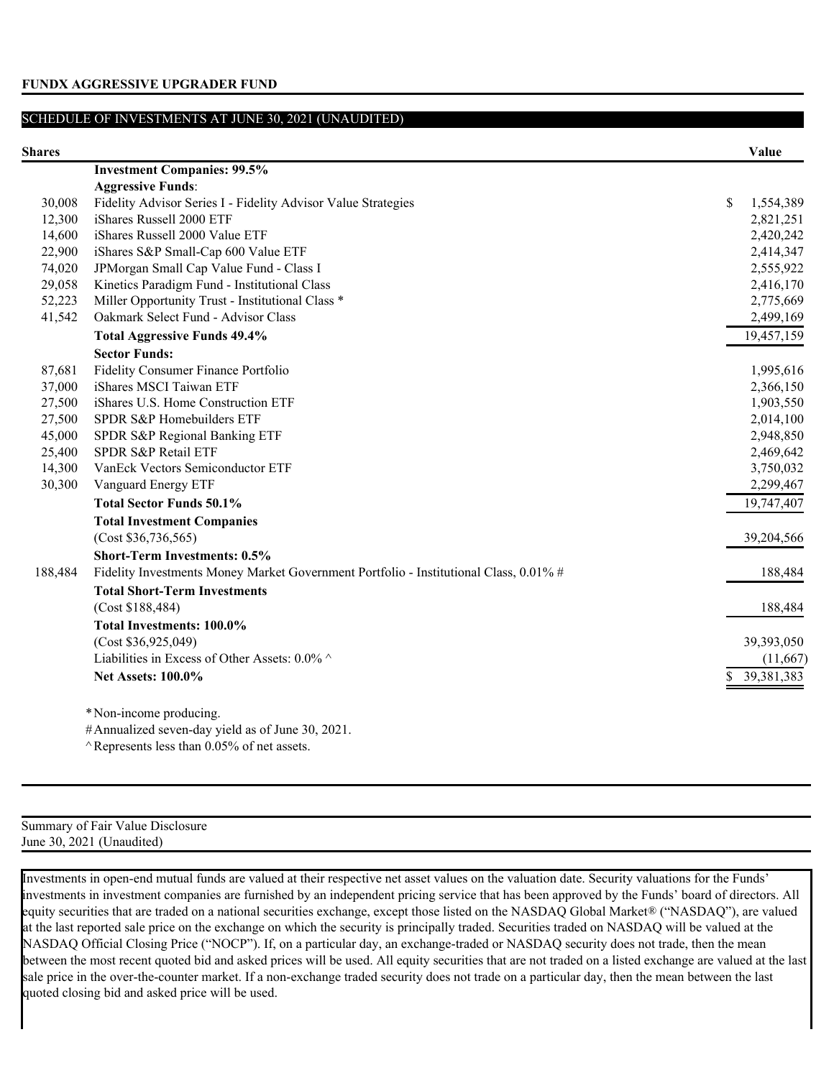| пя |
|----|
|----|

| Shares  |                                                                                       |    | Value      |
|---------|---------------------------------------------------------------------------------------|----|------------|
|         | <b>Investment Companies: 99.5%</b>                                                    |    |            |
|         | <b>Aggressive Funds:</b>                                                              |    |            |
| 30,008  | Fidelity Advisor Series I - Fidelity Advisor Value Strategies                         | \$ | 1,554,389  |
| 12,300  | iShares Russell 2000 ETF                                                              |    | 2,821,251  |
| 14,600  | iShares Russell 2000 Value ETF                                                        |    | 2,420,242  |
| 22,900  | iShares S&P Small-Cap 600 Value ETF                                                   |    | 2,414,347  |
| 74,020  | JPMorgan Small Cap Value Fund - Class I                                               |    | 2,555,922  |
| 29,058  | Kinetics Paradigm Fund - Institutional Class                                          |    | 2,416,170  |
| 52,223  | Miller Opportunity Trust - Institutional Class *                                      |    | 2,775,669  |
| 41,542  | Oakmark Select Fund - Advisor Class                                                   |    | 2,499,169  |
|         | <b>Total Aggressive Funds 49.4%</b>                                                   |    | 19,457,159 |
|         | <b>Sector Funds:</b>                                                                  |    |            |
| 87,681  | Fidelity Consumer Finance Portfolio                                                   |    | 1,995,616  |
| 37,000  | iShares MSCI Taiwan ETF                                                               |    | 2,366,150  |
| 27,500  | iShares U.S. Home Construction ETF                                                    |    | 1,903,550  |
| 27,500  | SPDR S&P Homebuilders ETF                                                             |    | 2,014,100  |
| 45,000  | SPDR S&P Regional Banking ETF                                                         |    | 2,948,850  |
| 25,400  | SPDR S&P Retail ETF                                                                   |    | 2,469,642  |
| 14,300  | VanEck Vectors Semiconductor ETF                                                      |    | 3,750,032  |
| 30,300  | Vanguard Energy ETF                                                                   |    | 2,299,467  |
|         | <b>Total Sector Funds 50.1%</b>                                                       |    | 19,747,407 |
|         | <b>Total Investment Companies</b>                                                     |    |            |
|         | (Cost \$36,736,565)                                                                   |    | 39,204,566 |
|         | <b>Short-Term Investments: 0.5%</b>                                                   |    |            |
| 188,484 | Fidelity Investments Money Market Government Portfolio - Institutional Class, 0.01% # |    | 188,484    |
|         | <b>Total Short-Term Investments</b>                                                   |    |            |
|         | (Cost \$188,484)                                                                      |    | 188,484    |
|         | <b>Total Investments: 100.0%</b>                                                      |    |            |
|         | (Cost \$36,925,049)                                                                   |    | 39,393,050 |
|         | Liabilities in Excess of Other Assets: 0.0% ^                                         |    | (11,667)   |
|         | <b>Net Assets: 100.0%</b>                                                             | D. | 39,381,383 |
|         |                                                                                       |    |            |
|         | * Non-income producing.                                                               |    |            |
|         |                                                                                       |    |            |

#Annualized seven-day yield as of June 30, 2021.

 $\land$  Represents less than 0.05% of net assets.

Summary of Fair Value Disclosure June 30, 2021 (Unaudited)

Investments in open-end mutual funds are valued at their respective net asset values on the valuation date. Security valuations for the Funds' investments in investment companies are furnished by an independent pricing service that has been approved by the Funds' board of directors. All equity securities that are traded on a national securities exchange, except those listed on the NASDAQ Global Market® ("NASDAQ"), are valued at the last reported sale price on the exchange on which the security is principally traded. Securities traded on NASDAQ will be valued at the NASDAQ Official Closing Price ("NOCP"). If, on a particular day, an exchange-traded or NASDAQ security does not trade, then the mean between the most recent quoted bid and asked prices will be used. All equity securities that are not traded on a listed exchange are valued at the last sale price in the over-the-counter market. If a non-exchange traded security does not trade on a particular day, then the mean between the last quoted closing bid and asked price will be used.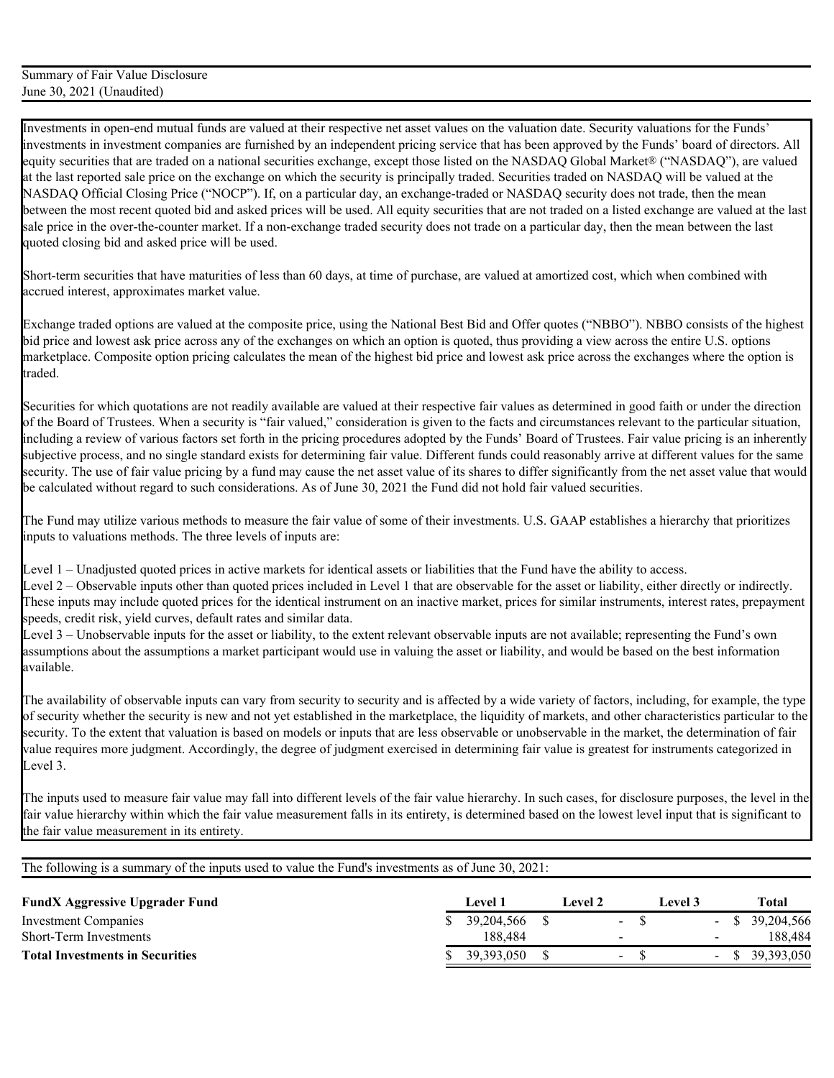Short-term securities that have maturities of less than 60 days, at time of purchase, are valued at amortized cost, which when combined with accrued interest, approximates market value.

Exchange traded options are valued at the composite price, using the National Best Bid and Offer quotes ("NBBO"). NBBO consists of the highest bid price and lowest ask price across any of the exchanges on which an option is quoted, thus providing a view across the entire U.S. options marketplace. Composite option pricing calculates the mean of the highest bid price and lowest ask price across the exchanges where the option is traded.

Securities for which quotations are not readily available are valued at their respective fair values as determined in good faith or under the direction of the Board of Trustees. When a security is "fair valued," consideration is given to the facts and circumstances relevant to the particular situation, including a review of various factors set forth in the pricing procedures adopted by the Funds' Board of Trustees. Fair value pricing is an inherently subjective process, and no single standard exists for determining fair value. Different funds could reasonably arrive at different values for the same security. The use of fair value pricing by a fund may cause the net asset value of its shares to differ significantly from the net asset value that would be calculated without regard to such considerations. As of June 30, 2021 the Fund did not hold fair valued securities.

The Fund may utilize various methods to measure the fair value of some of their investments. U.S. GAAP establishes a hierarchy that prioritizes inputs to valuations methods. The three levels of inputs are:

Level 1 – Unadjusted quoted prices in active markets for identical assets or liabilities that the Fund have the ability to access.

Level 2 – Observable inputs other than quoted prices included in Level 1 that are observable for the asset or liability, either directly or indirectly. These inputs may include quoted prices for the identical instrument on an inactive market, prices for similar instruments, interest rates, prepayment speeds, credit risk, yield curves, default rates and similar data.

Level 3 – Unobservable inputs for the asset or liability, to the extent relevant observable inputs are not available; representing the Fund's own assumptions about the assumptions a market participant would use in valuing the asset or liability, and would be based on the best information available.

The availability of observable inputs can vary from security to security and is affected by a wide variety of factors, including, for example, the type of security whether the security is new and not yet established in the marketplace, the liquidity of markets, and other characteristics particular to the security. To the extent that valuation is based on models or inputs that are less observable or unobservable in the market, the determination of fair value requires more judgment. Accordingly, the degree of judgment exercised in determining fair value is greatest for instruments categorized in Level 3.

The inputs used to measure fair value may fall into different levels of the fair value hierarchy. In such cases, for disclosure purposes, the level in the fair value hierarchy within which the fair value measurement falls in its entirety, is determined based on the lowest level input that is significant to the fair value measurement in its entirety.

| <b>FundX Aggressive Upgrader Fund</b>  | <b>Level 1</b> | Level 2 |                          | Level 3 |        | Total             |
|----------------------------------------|----------------|---------|--------------------------|---------|--------|-------------------|
| Investment Companies                   | 39, 204, 566   |         | $\blacksquare$           |         |        | $-$ \$ 39,204,566 |
| Short-Term Investments                 | 188.484        |         | $\overline{\phantom{a}}$ |         | $\sim$ | 188.484           |
| <b>Total Investments in Securities</b> | 39, 393, 050   |         | - ა                      |         |        | $-$ \$ 39,393,050 |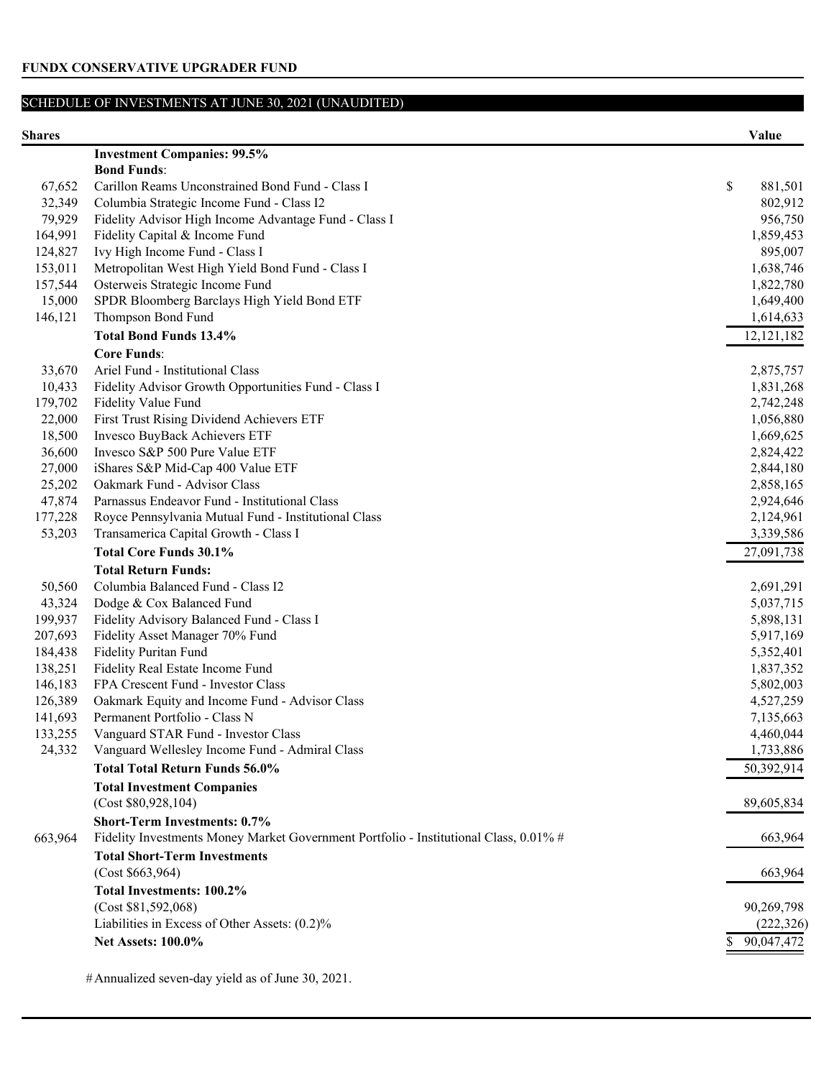| <b>Shares</b> |                                                                                       |              | Value        |
|---------------|---------------------------------------------------------------------------------------|--------------|--------------|
|               | <b>Investment Companies: 99.5%</b>                                                    |              |              |
|               | <b>Bond Funds:</b>                                                                    |              |              |
| 67,652        | Carillon Reams Unconstrained Bond Fund - Class I                                      | $\mathbb{S}$ | 881,501      |
| 32,349        | Columbia Strategic Income Fund - Class I2                                             |              | 802,912      |
| 79,929        | Fidelity Advisor High Income Advantage Fund - Class I                                 |              | 956,750      |
| 164,991       | Fidelity Capital & Income Fund                                                        |              | 1,859,453    |
| 124,827       | Ivy High Income Fund - Class I                                                        |              | 895,007      |
| 153,011       | Metropolitan West High Yield Bond Fund - Class I                                      |              | 1,638,746    |
| 157,544       | Osterweis Strategic Income Fund                                                       |              | 1,822,780    |
| 15,000        | SPDR Bloomberg Barclays High Yield Bond ETF                                           |              | 1,649,400    |
| 146,121       | Thompson Bond Fund                                                                    |              | 1,614,633    |
|               | <b>Total Bond Funds 13.4%</b>                                                         |              | 12, 121, 182 |
|               | <b>Core Funds:</b>                                                                    |              |              |
| 33,670        | Ariel Fund - Institutional Class                                                      |              | 2,875,757    |
| 10,433        | Fidelity Advisor Growth Opportunities Fund - Class I                                  |              | 1,831,268    |
| 179,702       | Fidelity Value Fund                                                                   |              | 2,742,248    |
| 22,000        | First Trust Rising Dividend Achievers ETF                                             |              | 1,056,880    |
| 18,500        | Invesco BuyBack Achievers ETF                                                         |              | 1,669,625    |
| 36,600        | Invesco S&P 500 Pure Value ETF                                                        |              | 2,824,422    |
| 27,000        | iShares S&P Mid-Cap 400 Value ETF                                                     |              | 2,844,180    |
| 25,202        | Oakmark Fund - Advisor Class                                                          |              | 2,858,165    |
| 47,874        | Parnassus Endeavor Fund - Institutional Class                                         |              | 2,924,646    |
| 177,228       | Royce Pennsylvania Mutual Fund - Institutional Class                                  |              | 2,124,961    |
| 53,203        | Transamerica Capital Growth - Class I                                                 |              | 3,339,586    |
|               | <b>Total Core Funds 30.1%</b>                                                         |              | 27,091,738   |
|               | <b>Total Return Funds:</b>                                                            |              |              |
| 50,560        | Columbia Balanced Fund - Class I2                                                     |              | 2,691,291    |
| 43,324        | Dodge & Cox Balanced Fund                                                             |              | 5,037,715    |
| 199,937       | Fidelity Advisory Balanced Fund - Class I                                             |              | 5,898,131    |
| 207,693       | Fidelity Asset Manager 70% Fund                                                       |              | 5,917,169    |
| 184,438       | Fidelity Puritan Fund                                                                 |              | 5,352,401    |
| 138,251       | Fidelity Real Estate Income Fund                                                      |              | 1,837,352    |
| 146,183       | FPA Crescent Fund - Investor Class                                                    |              | 5,802,003    |
| 126,389       | Oakmark Equity and Income Fund - Advisor Class                                        |              | 4,527,259    |
| 141,693       | Permanent Portfolio - Class N                                                         |              | 7,135,663    |
| 133,255       | Vanguard STAR Fund - Investor Class                                                   |              | 4,460,044    |
| 24,332        | Vanguard Wellesley Income Fund - Admiral Class                                        |              | 1,733,886    |
|               | <b>Total Total Return Funds 56.0%</b>                                                 |              | 50,392,914   |
|               | <b>Total Investment Companies</b>                                                     |              |              |
|               | (Cost \$80,928,104)                                                                   |              | 89,605,834   |
|               | <b>Short-Term Investments: 0.7%</b>                                                   |              |              |
| 663,964       | Fidelity Investments Money Market Government Portfolio - Institutional Class, 0.01% # |              | 663,964      |
|               | <b>Total Short-Term Investments</b>                                                   |              |              |
|               | (Cost \$663,964)                                                                      |              | 663,964      |
|               | Total Investments: 100.2%                                                             |              |              |
|               | (Cost \$81,592,068)                                                                   |              | 90,269,798   |
|               | Liabilities in Excess of Other Assets: (0.2)%                                         |              | (222, 326)   |
|               | <b>Net Assets: 100.0%</b>                                                             |              | 90,047,472   |
|               |                                                                                       |              |              |

#Annualized seven-day yield as of June 30, 2021.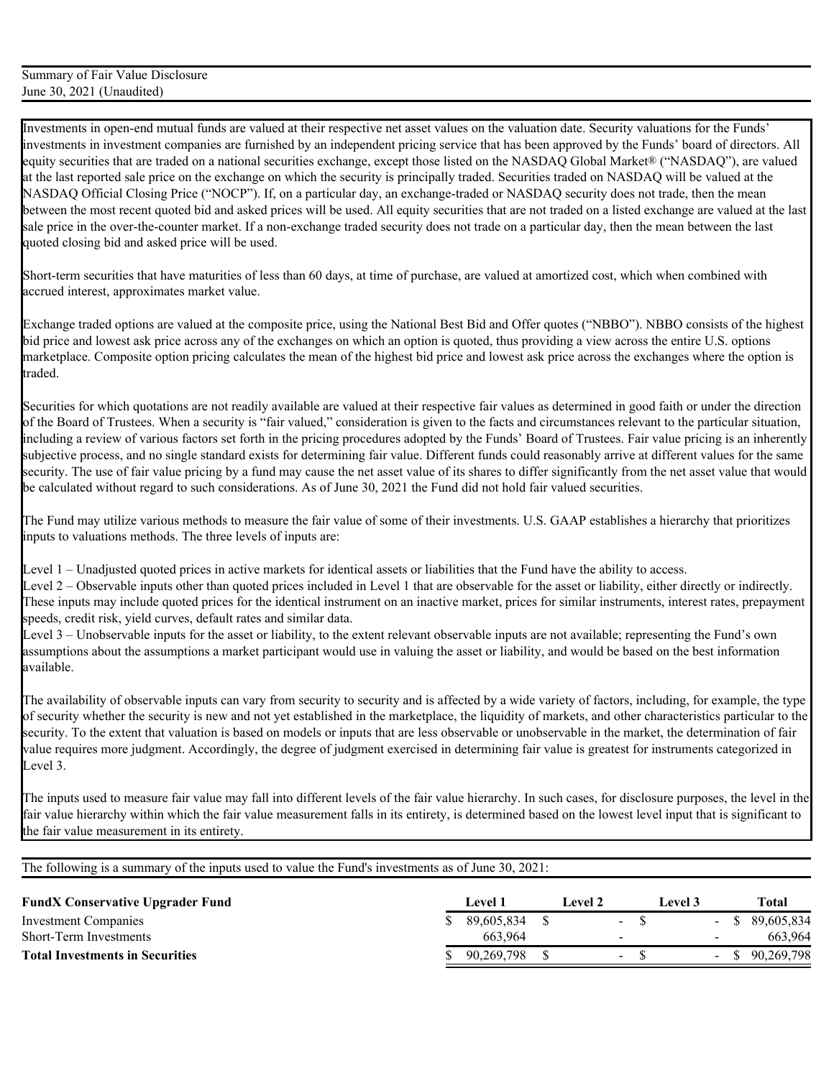Short-term securities that have maturities of less than 60 days, at time of purchase, are valued at amortized cost, which when combined with accrued interest, approximates market value.

Exchange traded options are valued at the composite price, using the National Best Bid and Offer quotes ("NBBO"). NBBO consists of the highest bid price and lowest ask price across any of the exchanges on which an option is quoted, thus providing a view across the entire U.S. options marketplace. Composite option pricing calculates the mean of the highest bid price and lowest ask price across the exchanges where the option is traded.

Securities for which quotations are not readily available are valued at their respective fair values as determined in good faith or under the direction of the Board of Trustees. When a security is "fair valued," consideration is given to the facts and circumstances relevant to the particular situation, including a review of various factors set forth in the pricing procedures adopted by the Funds' Board of Trustees. Fair value pricing is an inherently subjective process, and no single standard exists for determining fair value. Different funds could reasonably arrive at different values for the same security. The use of fair value pricing by a fund may cause the net asset value of its shares to differ significantly from the net asset value that would be calculated without regard to such considerations. As of June 30, 2021 the Fund did not hold fair valued securities.

The Fund may utilize various methods to measure the fair value of some of their investments. U.S. GAAP establishes a hierarchy that prioritizes inputs to valuations methods. The three levels of inputs are:

Level 1 – Unadjusted quoted prices in active markets for identical assets or liabilities that the Fund have the ability to access.

Level 2 – Observable inputs other than quoted prices included in Level 1 that are observable for the asset or liability, either directly or indirectly. These inputs may include quoted prices for the identical instrument on an inactive market, prices for similar instruments, interest rates, prepayment speeds, credit risk, yield curves, default rates and similar data.

Level 3 – Unobservable inputs for the asset or liability, to the extent relevant observable inputs are not available; representing the Fund's own assumptions about the assumptions a market participant would use in valuing the asset or liability, and would be based on the best information available.

The availability of observable inputs can vary from security to security and is affected by a wide variety of factors, including, for example, the type of security whether the security is new and not yet established in the marketplace, the liquidity of markets, and other characteristics particular to the security. To the extent that valuation is based on models or inputs that are less observable or unobservable in the market, the determination of fair value requires more judgment. Accordingly, the degree of judgment exercised in determining fair value is greatest for instruments categorized in Level 3.

The inputs used to measure fair value may fall into different levels of the fair value hierarchy. In such cases, for disclosure purposes, the level in the fair value hierarchy within which the fair value measurement falls in its entirety, is determined based on the lowest level input that is significant to the fair value measurement in its entirety.

| <b>FundX Conservative Upgrader Fund</b> | Level 1    | Level 2                  | Level 3 |  | Total             |
|-----------------------------------------|------------|--------------------------|---------|--|-------------------|
| Investment Companies                    | 89,605,834 | $\sim$                   |         |  | $-$ \$ 89,605,834 |
| Short-Term Investments                  | 663.964    | $\overline{\phantom{0}}$ |         |  | 663.964           |
| <b>Total Investments in Securities</b>  | 90.269.798 | $\overline{\phantom{a}}$ |         |  | $-$ \$ 90,269,798 |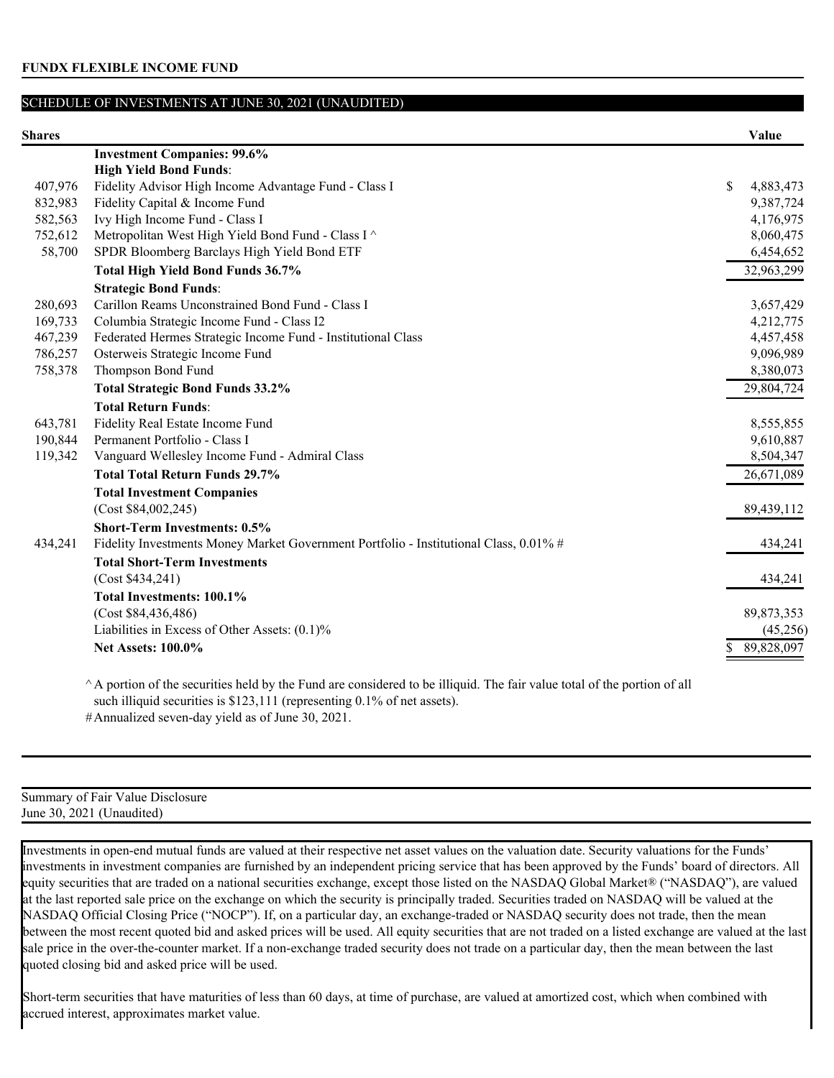| <b>Shares</b> |                                                                                       | Value           |
|---------------|---------------------------------------------------------------------------------------|-----------------|
|               | <b>Investment Companies: 99.6%</b>                                                    |                 |
|               | <b>High Yield Bond Funds:</b>                                                         |                 |
| 407,976       | Fidelity Advisor High Income Advantage Fund - Class I                                 | \$<br>4,883,473 |
| 832,983       | Fidelity Capital & Income Fund                                                        | 9,387,724       |
| 582,563       | Ivy High Income Fund - Class I                                                        | 4,176,975       |
| 752,612       | Metropolitan West High Yield Bond Fund - Class I ^                                    | 8,060,475       |
| 58,700        | SPDR Bloomberg Barclays High Yield Bond ETF                                           | 6,454,652       |
|               | Total High Yield Bond Funds 36.7%                                                     | 32,963,299      |
|               | <b>Strategic Bond Funds:</b>                                                          |                 |
| 280,693       | Carillon Reams Unconstrained Bond Fund - Class I                                      | 3,657,429       |
| 169,733       | Columbia Strategic Income Fund - Class I2                                             | 4,212,775       |
| 467,239       | Federated Hermes Strategic Income Fund - Institutional Class                          | 4,457,458       |
| 786,257       | Osterweis Strategic Income Fund                                                       | 9,096,989       |
| 758,378       | Thompson Bond Fund                                                                    | 8,380,073       |
|               | <b>Total Strategic Bond Funds 33.2%</b>                                               | 29,804,724      |
|               | <b>Total Return Funds:</b>                                                            |                 |
| 643,781       | Fidelity Real Estate Income Fund                                                      | 8,555,855       |
| 190,844       | Permanent Portfolio - Class I                                                         | 9,610,887       |
| 119,342       | Vanguard Wellesley Income Fund - Admiral Class                                        | 8,504,347       |
|               | <b>Total Total Return Funds 29.7%</b>                                                 | 26,671,089      |
|               | <b>Total Investment Companies</b>                                                     |                 |
|               | (Cost \$84,002,245)                                                                   | 89,439,112      |
|               | <b>Short-Term Investments: 0.5%</b>                                                   |                 |
| 434,241       | Fidelity Investments Money Market Government Portfolio - Institutional Class, 0.01% # | 434,241         |
|               | <b>Total Short-Term Investments</b>                                                   |                 |
|               | (Cost \$434,241)                                                                      | 434,241         |
|               | <b>Total Investments: 100.1%</b>                                                      |                 |
|               | (Cost \$84,436,486)                                                                   | 89,873,353      |
|               | Liabilities in Excess of Other Assets: (0.1)%                                         | (45,256)        |
|               | <b>Net Assets: 100.0%</b>                                                             | 89,828,097      |
|               |                                                                                       |                 |

 $^{\wedge}$  A portion of the securities held by the Fund are considered to be illiquid. The fair value total of the portion of all such illiquid securities is \$123,111 (representing 0.1% of net assets). #Annualized seven-day yield as of June 30, 2021.

Summary of Fair Value Disclosure June 30, 2021 (Unaudited)

Investments in open-end mutual funds are valued at their respective net asset values on the valuation date. Security valuations for the Funds' investments in investment companies are furnished by an independent pricing service that has been approved by the Funds' board of directors. All equity securities that are traded on a national securities exchange, except those listed on the NASDAQ Global Market® ("NASDAQ"), are valued at the last reported sale price on the exchange on which the security is principally traded. Securities traded on NASDAQ will be valued at the NASDAQ Official Closing Price ("NOCP"). If, on a particular day, an exchange-traded or NASDAQ security does not trade, then the mean between the most recent quoted bid and asked prices will be used. All equity securities that are not traded on a listed exchange are valued at the last sale price in the over-the-counter market. If a non-exchange traded security does not trade on a particular day, then the mean between the last quoted closing bid and asked price will be used.

Short-term securities that have maturities of less than 60 days, at time of purchase, are valued at amortized cost, which when combined with accrued interest, approximates market value.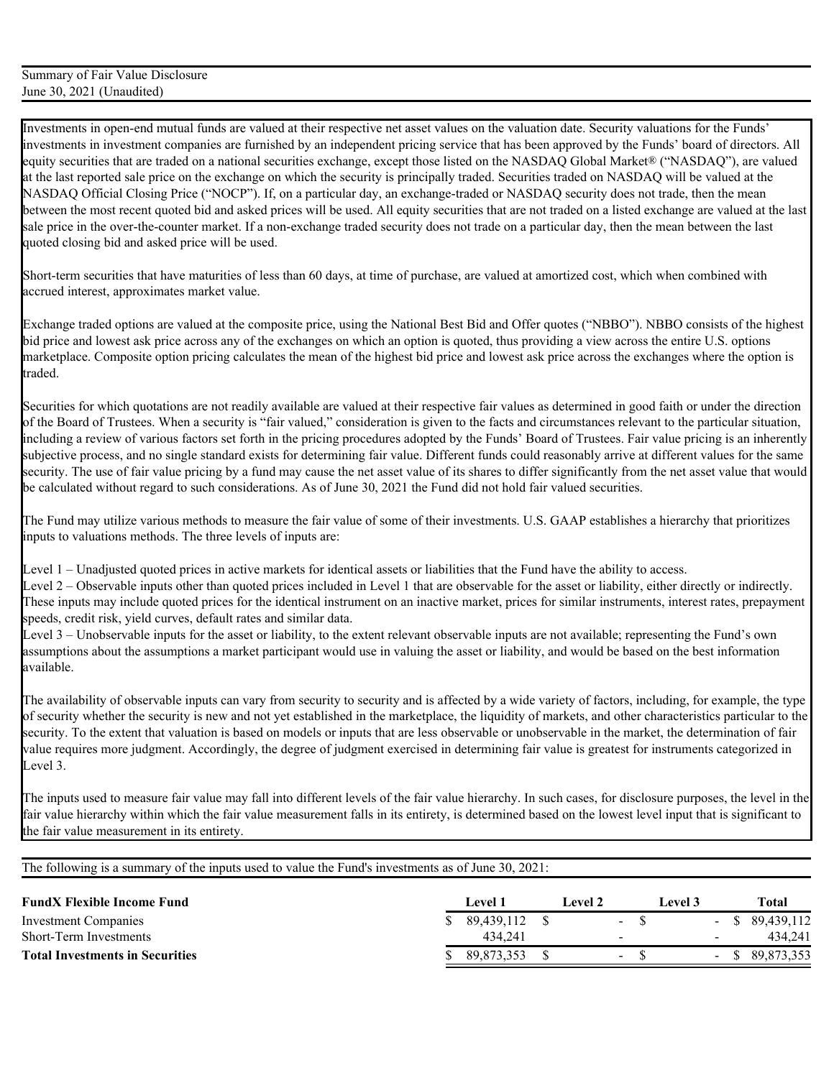Short-term securities that have maturities of less than 60 days, at time of purchase, are valued at amortized cost, which when combined with accrued interest, approximates market value.

Exchange traded options are valued at the composite price, using the National Best Bid and Offer quotes ("NBBO"). NBBO consists of the highest bid price and lowest ask price across any of the exchanges on which an option is quoted, thus providing a view across the entire U.S. options marketplace. Composite option pricing calculates the mean of the highest bid price and lowest ask price across the exchanges where the option is traded.

Securities for which quotations are not readily available are valued at their respective fair values as determined in good faith or under the direction of the Board of Trustees. When a security is "fair valued," consideration is given to the facts and circumstances relevant to the particular situation, including a review of various factors set forth in the pricing procedures adopted by the Funds' Board of Trustees. Fair value pricing is an inherently subjective process, and no single standard exists for determining fair value. Different funds could reasonably arrive at different values for the same security. The use of fair value pricing by a fund may cause the net asset value of its shares to differ significantly from the net asset value that would be calculated without regard to such considerations. As of June 30, 2021 the Fund did not hold fair valued securities.

The Fund may utilize various methods to measure the fair value of some of their investments. U.S. GAAP establishes a hierarchy that prioritizes inputs to valuations methods. The three levels of inputs are:

Level 1 – Unadjusted quoted prices in active markets for identical assets or liabilities that the Fund have the ability to access.

Level 2 – Observable inputs other than quoted prices included in Level 1 that are observable for the asset or liability, either directly or indirectly. These inputs may include quoted prices for the identical instrument on an inactive market, prices for similar instruments, interest rates, prepayment speeds, credit risk, yield curves, default rates and similar data.

Level 3 – Unobservable inputs for the asset or liability, to the extent relevant observable inputs are not available; representing the Fund's own assumptions about the assumptions a market participant would use in valuing the asset or liability, and would be based on the best information available.

The availability of observable inputs can vary from security to security and is affected by a wide variety of factors, including, for example, the type of security whether the security is new and not yet established in the marketplace, the liquidity of markets, and other characteristics particular to the security. To the extent that valuation is based on models or inputs that are less observable or unobservable in the market, the determination of fair value requires more judgment. Accordingly, the degree of judgment exercised in determining fair value is greatest for instruments categorized in Level 3.

The inputs used to measure fair value may fall into different levels of the fair value hierarchy. In such cases, for disclosure purposes, the level in the fair value hierarchy within which the fair value measurement falls in its entirety, is determined based on the lowest level input that is significant to the fair value measurement in its entirety.

| <b>FundX Flexible Income Fund</b>      |     | Level 1    | Level 2                  | ⊥evel 3 |        | Total             |
|----------------------------------------|-----|------------|--------------------------|---------|--------|-------------------|
| Investment Companies                   | SS. | 89.439.112 | $\sim$                   |         |        | $-$ \$ 89,439,112 |
| Short-Term Investments                 |     | 434.241    | $\overline{\phantom{a}}$ |         | $\sim$ | 434.241           |
| <b>Total Investments in Securities</b> |     | 89.873.353 | - ა                      |         |        | $-$ \$ 89,873,353 |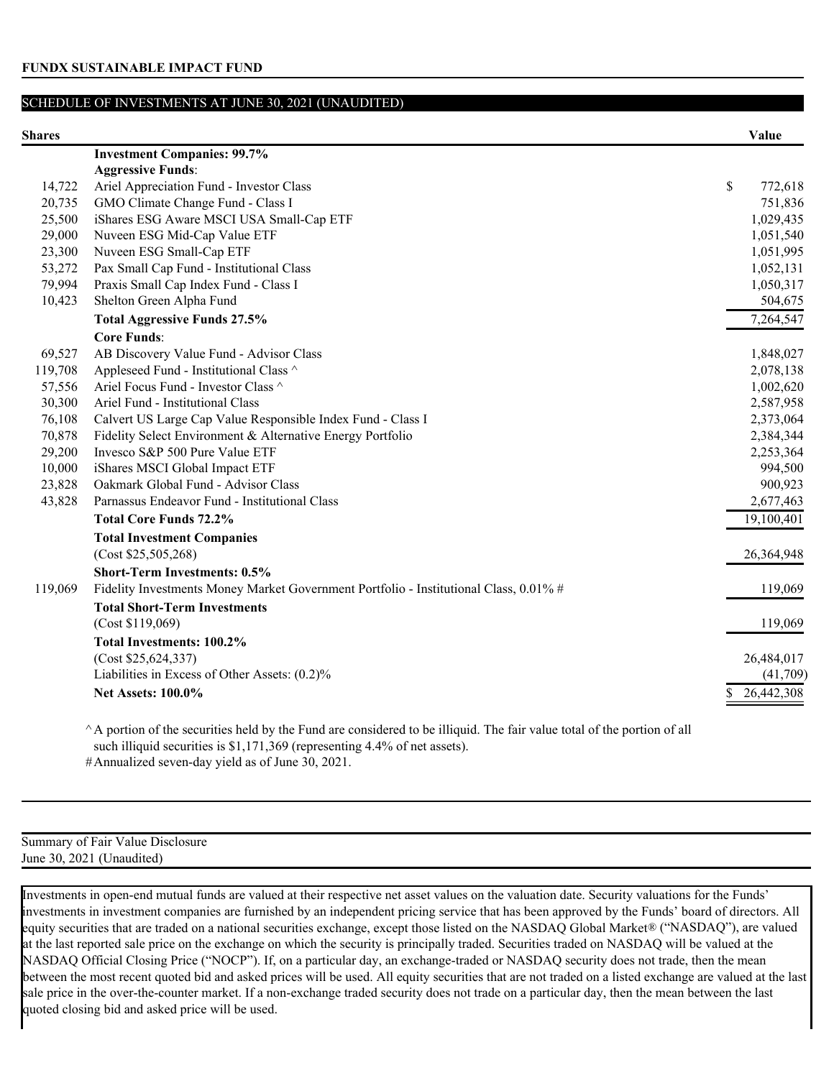| <b>Shares</b> |                                                                                       | Value         |
|---------------|---------------------------------------------------------------------------------------|---------------|
|               | <b>Investment Companies: 99.7%</b>                                                    |               |
|               | <b>Aggressive Funds:</b>                                                              |               |
| 14,722        | Ariel Appreciation Fund - Investor Class                                              | \$<br>772,618 |
| 20,735        | GMO Climate Change Fund - Class I                                                     | 751,836       |
| 25,500        | iShares ESG Aware MSCI USA Small-Cap ETF                                              | 1,029,435     |
| 29,000        | Nuveen ESG Mid-Cap Value ETF                                                          | 1,051,540     |
| 23,300        | Nuveen ESG Small-Cap ETF                                                              | 1,051,995     |
| 53,272        | Pax Small Cap Fund - Institutional Class                                              | 1,052,131     |
| 79,994        | Praxis Small Cap Index Fund - Class I                                                 | 1,050,317     |
| 10,423        | Shelton Green Alpha Fund                                                              | 504,675       |
|               | <b>Total Aggressive Funds 27.5%</b>                                                   | 7,264,547     |
|               | <b>Core Funds:</b>                                                                    |               |
| 69,527        | AB Discovery Value Fund - Advisor Class                                               | 1,848,027     |
| 119,708       | Appleseed Fund - Institutional Class ^                                                | 2,078,138     |
| 57,556        | Ariel Focus Fund - Investor Class ^                                                   | 1,002,620     |
| 30,300        | Ariel Fund - Institutional Class                                                      | 2,587,958     |
| 76,108        | Calvert US Large Cap Value Responsible Index Fund - Class I                           | 2,373,064     |
| 70,878        | Fidelity Select Environment & Alternative Energy Portfolio                            | 2,384,344     |
| 29,200        | Invesco S&P 500 Pure Value ETF                                                        | 2,253,364     |
| 10,000        | iShares MSCI Global Impact ETF                                                        | 994,500       |
| 23,828        | Oakmark Global Fund - Advisor Class                                                   | 900,923       |
| 43,828        | Parnassus Endeavor Fund - Institutional Class                                         | 2,677,463     |
|               | <b>Total Core Funds 72.2%</b>                                                         | 19,100,401    |
|               | <b>Total Investment Companies</b>                                                     |               |
|               | (Cost \$25,505,268)                                                                   | 26,364,948    |
|               | <b>Short-Term Investments: 0.5%</b>                                                   |               |
| 119,069       | Fidelity Investments Money Market Government Portfolio - Institutional Class, 0.01% # | 119,069       |
|               | <b>Total Short-Term Investments</b>                                                   |               |
|               | (Cost \$119,069)                                                                      | 119,069       |
|               | Total Investments: 100.2%                                                             |               |
|               | (Cost \$25,624,337)                                                                   | 26,484,017    |
|               | Liabilities in Excess of Other Assets: (0.2)%                                         | (41,709)      |
|               | <b>Net Assets: 100.0%</b>                                                             | 26,442,308    |
|               |                                                                                       |               |
|               |                                                                                       |               |

 $^{\wedge}$  A portion of the securities held by the Fund are considered to be illiquid. The fair value total of the portion of all such illiquid securities is \$1,171,369 (representing 4.4% of net assets).

#Annualized seven-day yield as of June 30, 2021.

## Summary of Fair Value Disclosure June 30, 2021 (Unaudited)

Investments in open-end mutual funds are valued at their respective net asset values on the valuation date. Security valuations for the Funds' investments in investment companies are furnished by an independent pricing service that has been approved by the Funds' board of directors. All equity securities that are traded on a national securities exchange, except those listed on the NASDAQ Global Market® ("NASDAQ"), are valued at the last reported sale price on the exchange on which the security is principally traded. Securities traded on NASDAQ will be valued at the NASDAQ Official Closing Price ("NOCP"). If, on a particular day, an exchange-traded or NASDAQ security does not trade, then the mean between the most recent quoted bid and asked prices will be used. All equity securities that are not traded on a listed exchange are valued at the last sale price in the over-the-counter market. If a non-exchange traded security does not trade on a particular day, then the mean between the last quoted closing bid and asked price will be used.